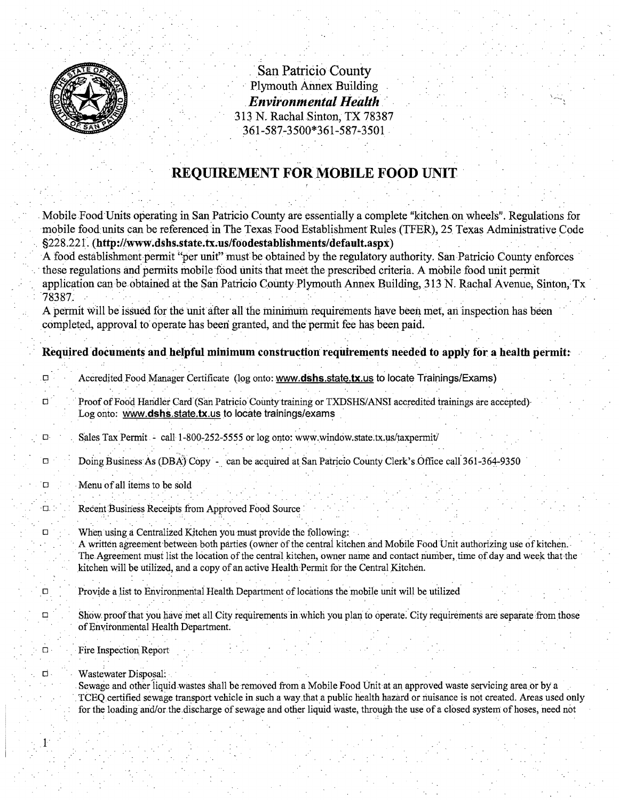

. San Patricio County Plymouth Annex Building *Environmental Health* 313 N. Rachal Sinton, TX 78387 361-587-3500\*361-587~3501 .

## **REQUIREMENT FOR MOBILE FOOD UNIT**

Mobile Food Units operating in San Patricio County are essentially a complete "kitchen on wheels". Regulations for mobile food units can be referenced in The Texas Food Establishment Rules (TFER), 25 Texas Administrative Code §228.221. (http://www.dshs.state.tx.us/foodestablishments/default.aspx)

A food establishment permit "per unit" must be obtained by the regulatory authority. San Patricio County enforces these regulations and permits mobile food units that meet the prescribed criteria. A mobile food unit permit application can be obtained at the San Patricio County Plymouth Annex Building, 313 N. Rachal Avenue, Sinton, Tx ...

A permit will be issued for the unit after all the minimum requirements have been met, an inspection has been completed, approval to operate has been granted, and the permit fee has been paid.

## Required documents and helpful minimum construction requirements needed to apply for a health permit:

**D** Accredited Food Manager Certificate (log onto: www.dshs.state.tx.us to locate Trainings/Exams)

- d Proof ofFood Handler Card (San Patricio Colintytraining or TXDSHS/ANSI accredited trainings are accepted) Log onto: www.dshs.state.tx.us to locate trainings/exams
- , 0 Sales TaxPermit call1-800~252-5555 or log onto: www.wind6w.state:tx.us/taxpermitl
- Doing Business As (DBA) Copy can be acquired at San Patricio County Clerk's Office call 361-364-9350
- $\Box$  . Menu of all items to be sold

**D. Recent Business Receipts from Approved Food Source:** 

<sup>o</sup> When using 11 Centralized Kitchen you must prQvide the following: . .' . . . . A wfitten agreement 'between both parties (owner ofihecenti:ai kitchen .and Mobile FbodUnit authorizing use ofkitchen . The Agreement must list the location of the central kitchen, owner name and contact number, time of day and week that the kitchen will be utilized, and a copy of an active Health Permit for the Central Kitchen.

- $\square$  . Provide a list to Environmental Health Department of locations the mobile unit will be utilized
- $\Box$  Show proof that you have met all City requirements in which you plan to operate. City requirements are separate from those of Environmental Health Department.
- ., o· . Fire Inspection Report
- D Wastewater Disposal:

 $1<sup>1</sup>$ 

Sewage and other liquid wastes shall be removed from a Mobile Food Unit at an approved waste servicing area or by a TCEQ.certified sewage transport vehicle in such a way that a public health hazard or nuisance is not created. Areas used only for the loading and/or the discharge of sewage and other liquid waste, through the use of a closed system of hoses, need not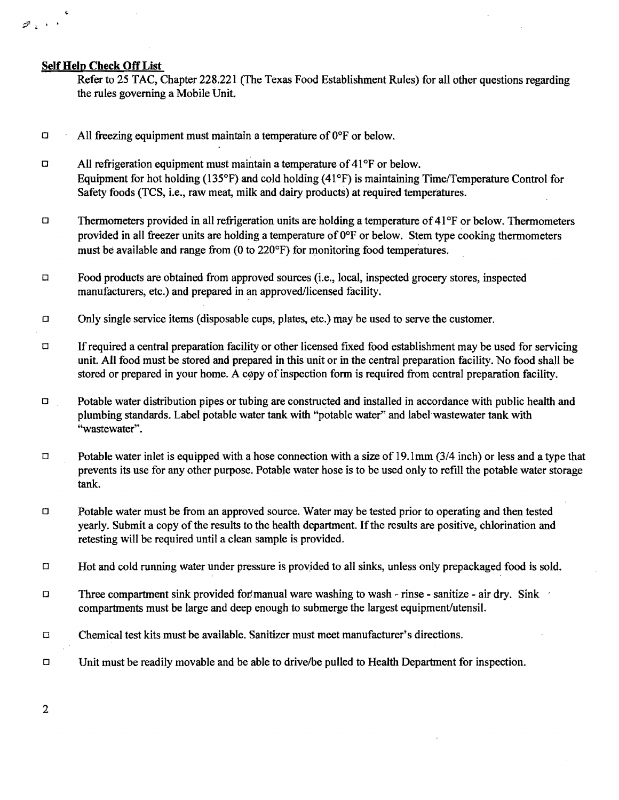## Self Help Check Off List

 $\tilde{v}$ 

 $\mathscr{D}$  ,  $\rightarrow$ 

Refer to 25 TAC, Chapter 228.221 (The Texas Food Establishment Rules) for all other questions regarding the rules governing a Mobile Unit.

- $\Box$  All freezing equipment must maintain a temperature of  $0^{\circ}$ F or below.
- $\Box$  All refrigeration equipment must maintain a temperature of 41°F or below. Equipment for hot holding (135 $\textdegree$ F) and cold holding (41 $\textdegree$ F) is maintaining Time/Temperature Control for Safety foods (TCS, i.e., raw meat, milk and dairy products) at required temperatures.
- $\Box$  Thermometers provided in all refrigeration units are holding a temperature of 41°F or below. Thermometers provided in all freezer units are holding a temperature of  $0^{\circ}$  F or below. Stem type cooking thermometers must be available and range from (0 to 220°F) for monitoring food temperatures.
- $\Box$  Food products are obtained from approved sources (i.e., local, inspected grocery stores, inspected manufacturers, etc.) and prepared in an approved/licensed facility.
- $\Box$  Only single service items (disposable cups, plates, etc.) may be used to serve the customer.
- $\Box$  If required a central preparation facility or other licensed fixed food establishment may be used for servicing unit. All food must be stored and prepared in this unit or in the central preparation facility. No food shall be stored or prepared in your home. A copy of inspection form is required from central preparation facility.
- $\Box$  Potable water distribution pipes or tubing are constructed and installed in accordance with public health and plumbing standards. Label potable water tank with "potable water" and label wastewater tank with "wastewater".
- $\Box$  Potable water inlet is equipped with a hose connection with a size of 19.1mm (3/4 inch) or less and a type that prevents its use for any other purpose. Potable water hose is to be used only to refill the potable water storage tank.
- $\Box$  Potable water must be from an approved source. Water may be tested prior to operating and then tested yearly. Submit a copy of the results to the health department. If the results are positive, chlorination and retesting will be required until a clean sample is provided.
- $\Box$  Hot and cold running water under pressure is provided to all sinks, unless only prepackaged food is sold.
- $\Box$  Three compartment sink provided for manual ware washing to wash rinse sanitize air dry. Sink compartments must be large and deep enough to submerge the largest equipment/utensil.
- $\Box$  Chemical test kits must be available. Sanitizer must meet manufacturer's directions.
- $\Box$  Unit must be readily movable and be able to drive/be pulled to Health Department for inspection.
- 2